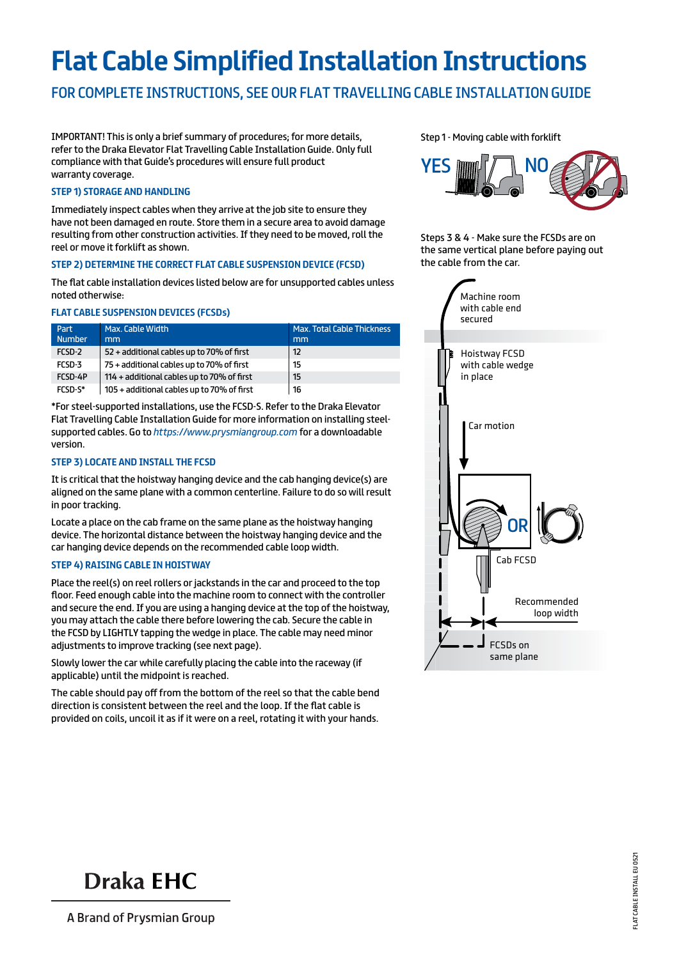# **Flat Cable Simplified Installation Instructions**

## for complete instructions, see our flat travelling cable installation guide

IMPORTANT! This is only a brief summary of procedures; for more details, refer to the Draka Elevator Flat Travelling Cable Installation Guide. Only full compliance with that Guide's procedures will ensure full product warranty coverage.

### **Step 1) Storage and Handling**

Immediately inspect cables when they arrive at the job site to ensure they have not been damaged en route. Store them in a secure area to avoid damage resulting from other construction activities. If they need to be moved, roll the reel or move it forklift as shown.

### **Step 2) Determine the Correct Flat Cable Suspension Device (FCSD)**

The flat cable installation devices listed below are for unsupported cables unless noted otherwise:

### **Flat Cable Suspension Devices (FCSDs)**

| Part<br><b>Number</b> | Max. Cable Width<br>mm                     | <b>Max. Total Cable Thickness</b><br>mm |
|-----------------------|--------------------------------------------|-----------------------------------------|
| FCSD-2                | 52 + additional cables up to 70% of first  | 12                                      |
| FCSD-3                | 75 + additional cables up to 70% of first  | 15                                      |
| FCSD-4P               | 114 + additional cables up to 70% of first | 15                                      |
| FCSD-S*               | 105 + additional cables up to 70% of first | 16                                      |

\*For steel-supported installations, use the FCSD-S. Refer to the Draka Elevator Flat Travelling Cable Installation Guide for more information on installing steelsupported cables. Go to *https://www.prysmiangroup.com* for a downloadable version.

### **Step 3) Locate and Install the FCSD**

It is critical that the hoistway hanging device and the cab hanging device(s) are aligned on the same plane with a common centerline. Failure to do so will result in poor tracking.

Locate a place on the cab frame on the same plane as the hoistway hanging device. The horizontal distance between the hoistway hanging device and the car hanging device depends on the recommended cable loop width.

#### **Step 4) Raising Cable in Hoistway**

Place the reel(s) on reel rollers or jackstands in the car and proceed to the top floor. Feed enough cable into the machine room to connect with the controller and secure the end. If you are using a hanging device at the top of the hoistway, you may attach the cable there before lowering the cab. Secure the cable in the FCSD by LIGHTLY tapping the wedge in place. The cable may need minor adjustments to improve tracking (see next page).

Slowly lower the car while carefully placing the cable into the raceway (if applicable) until the midpoint is reached.

The cable should pay off from the bottom of the reel so that the cable bend direction is consistent between the reel and the loop. If the flat cable is provided on coils, uncoil it as if it were on a reel, rotating it with your hands.

Step 1 - Moving cable with forklift



Steps 3 & 4 - Make sure the FCSDs are on the same vertical plane before paying out the cable from the car.





A Brand of Prysmian Group